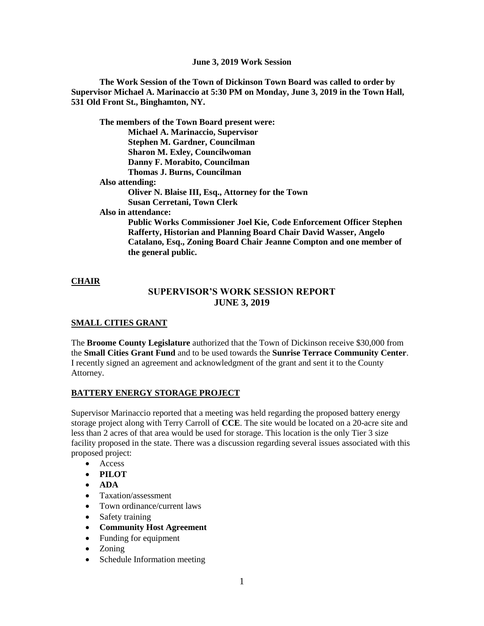**The Work Session of the Town of Dickinson Town Board was called to order by Supervisor Michael A. Marinaccio at 5:30 PM on Monday, June 3, 2019 in the Town Hall, 531 Old Front St., Binghamton, NY.**

**The members of the Town Board present were: Michael A. Marinaccio, Supervisor Stephen M. Gardner, Councilman Sharon M. Exley, Councilwoman Danny F. Morabito, Councilman Thomas J. Burns, Councilman Also attending: Oliver N. Blaise III, Esq., Attorney for the Town Susan Cerretani, Town Clerk Also in attendance: Public Works Commissioner Joel Kie, Code Enforcement Officer Stephen** 

**Rafferty, Historian and Planning Board Chair David Wasser, Angelo Catalano, Esq., Zoning Board Chair Jeanne Compton and one member of the general public.**

### **CHAIR**

## **SUPERVISOR'S WORK SESSION REPORT JUNE 3, 2019**

### **SMALL CITIES GRANT**

The **Broome County Legislature** authorized that the Town of Dickinson receive \$30,000 from the **Small Cities Grant Fund** and to be used towards the **Sunrise Terrace Community Center**. I recently signed an agreement and acknowledgment of the grant and sent it to the County Attorney.

### **BATTERY ENERGY STORAGE PROJECT**

Supervisor Marinaccio reported that a meeting was held regarding the proposed battery energy storage project along with Terry Carroll of **CCE**. The site would be located on a 20-acre site and less than 2 acres of that area would be used for storage. This location is the only Tier 3 size facility proposed in the state. There was a discussion regarding several issues associated with this proposed project:

- Access
- **PILOT**
- **ADA**
- Taxation/assessment
- Town ordinance/current laws
- Safety training
- **Community Host Agreement**
- Funding for equipment
- Zoning
- Schedule Information meeting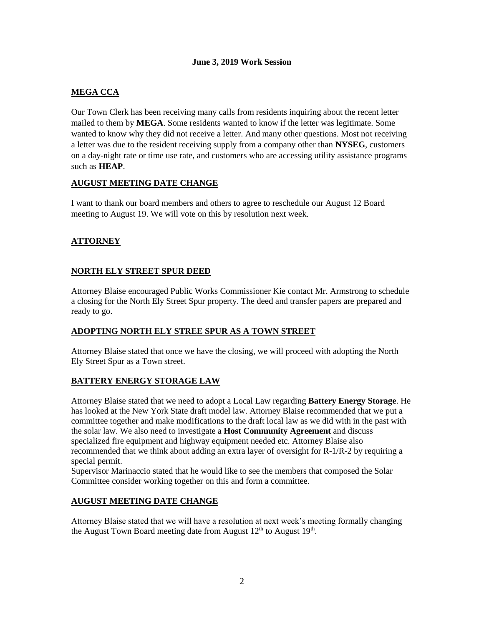## **MEGA CCA**

Our Town Clerk has been receiving many calls from residents inquiring about the recent letter mailed to them by **MEGA**. Some residents wanted to know if the letter was legitimate. Some wanted to know why they did not receive a letter. And many other questions. Most not receiving a letter was due to the resident receiving supply from a company other than **NYSEG**, customers on a day-night rate or time use rate, and customers who are accessing utility assistance programs such as **HEAP**.

#### **AUGUST MEETING DATE CHANGE**

I want to thank our board members and others to agree to reschedule our August 12 Board meeting to August 19. We will vote on this by resolution next week.

## **ATTORNEY**

## **NORTH ELY STREET SPUR DEED**

Attorney Blaise encouraged Public Works Commissioner Kie contact Mr. Armstrong to schedule a closing for the North Ely Street Spur property. The deed and transfer papers are prepared and ready to go.

### **ADOPTING NORTH ELY STREE SPUR AS A TOWN STREET**

Attorney Blaise stated that once we have the closing, we will proceed with adopting the North Ely Street Spur as a Town street.

### **BATTERY ENERGY STORAGE LAW**

Attorney Blaise stated that we need to adopt a Local Law regarding **Battery Energy Storage**. He has looked at the New York State draft model law. Attorney Blaise recommended that we put a committee together and make modifications to the draft local law as we did with in the past with the solar law. We also need to investigate a **Host Community Agreement** and discuss specialized fire equipment and highway equipment needed etc. Attorney Blaise also recommended that we think about adding an extra layer of oversight for R-1/R-2 by requiring a special permit.

Supervisor Marinaccio stated that he would like to see the members that composed the Solar Committee consider working together on this and form a committee.

### **AUGUST MEETING DATE CHANGE**

Attorney Blaise stated that we will have a resolution at next week's meeting formally changing the August Town Board meeting date from August  $12<sup>th</sup>$  to August  $19<sup>th</sup>$ .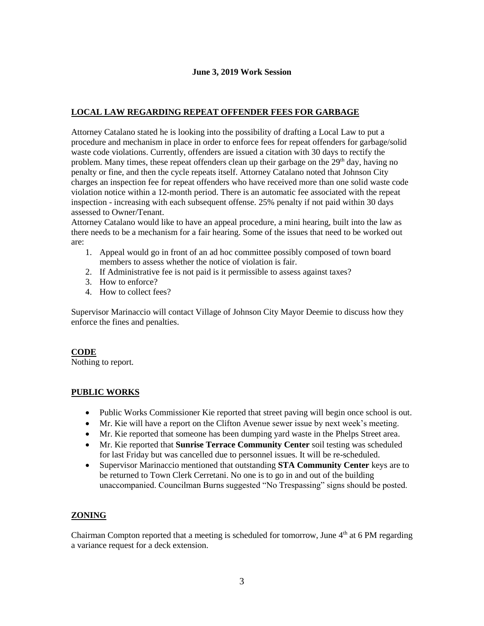## **LOCAL LAW REGARDING REPEAT OFFENDER FEES FOR GARBAGE**

Attorney Catalano stated he is looking into the possibility of drafting a Local Law to put a procedure and mechanism in place in order to enforce fees for repeat offenders for garbage/solid waste code violations. Currently, offenders are issued a citation with 30 days to rectify the problem. Many times, these repeat offenders clean up their garbage on the  $29<sup>th</sup>$  day, having no penalty or fine, and then the cycle repeats itself. Attorney Catalano noted that Johnson City charges an inspection fee for repeat offenders who have received more than one solid waste code violation notice within a 12-month period. There is an automatic fee associated with the repeat inspection - increasing with each subsequent offense. 25% penalty if not paid within 30 days assessed to Owner/Tenant.

Attorney Catalano would like to have an appeal procedure, a mini hearing, built into the law as there needs to be a mechanism for a fair hearing. Some of the issues that need to be worked out are:

- 1. Appeal would go in front of an ad hoc committee possibly composed of town board members to assess whether the notice of violation is fair.
- 2. If Administrative fee is not paid is it permissible to assess against taxes?
- 3. How to enforce?
- 4. How to collect fees?

Supervisor Marinaccio will contact Village of Johnson City Mayor Deemie to discuss how they enforce the fines and penalties.

### **CODE**

Nothing to report.

## **PUBLIC WORKS**

- Public Works Commissioner Kie reported that street paving will begin once school is out.
- Mr. Kie will have a report on the Clifton Avenue sewer issue by next week's meeting.
- Mr. Kie reported that someone has been dumping yard waste in the Phelps Street area.
- Mr. Kie reported that **Sunrise Terrace Community Center** soil testing was scheduled for last Friday but was cancelled due to personnel issues. It will be re-scheduled.
- Supervisor Marinaccio mentioned that outstanding **STA Community Center** keys are to be returned to Town Clerk Cerretani. No one is to go in and out of the building unaccompanied. Councilman Burns suggested "No Trespassing" signs should be posted.

# **ZONING**

Chairman Compton reported that a meeting is scheduled for tomorrow, June  $4<sup>th</sup>$  at 6 PM regarding a variance request for a deck extension.